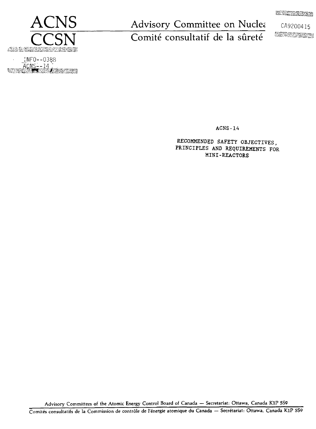**EXPERIMENT** 



INF0--0388<br>ACNS--14<br>BROSS --14 **GENE** 

Advisory Committee on Nuclea CA9200415

Comité consultatif de la sûreté

ACNS-14

RECOMMENDED SAFETY OBJECTIVES, PRINCIPLES AND REQUIREMENTS FOR MINI-REACTORS

Advisory Committees of the Atomic Energy Control Board of Canada — Secretariat: Ottawa, Canada KIP 5S9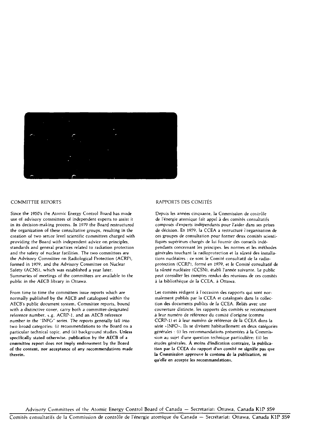

#### COMMITTEE REPORTS

Since the 1950's the Atomic Energy Control Board has made use of advisory committees of independent experts to assist it in its decision-making process. In 1979 the Board restructured the organization of these consultative groups, resulting in the creation of two senior level scientific committees charged with providing the Board with independent advice on principles, standards and general practices related to radiation protection and the safety of nuclear facilities. The two committees are the Advisory Committee on Radiological Protection (ACRP), formed in 1979, and the Advisory Committee on Nuclear Safety (ACNS), which was established a year later. Summaries of meetings of the committees are available to the public in the AECB library in Ottawa.

From time to time the committees issue reports which are normally published by the AECB and catalogued within the AECB's public document system. Committee reports, bound with a distinctive cover, carry both a committee-designated reference number, t.g. ACRP-1, and an AECB reference number in the "INFO" series. The reports generally fall into two broad categories: (i) recommendations to the Board on a particular technical topic, and (ii) background studies. Unless specifically stated otherwise, publication by the AECB of a committee report does not imply endorsement by the Board of the content, nor acceptance of any recommendations made therein.

#### RAPPORTS DES COMITES

Depuis les années cinquante, la Commission de contrôle de l'énergie atomique fail appel à des comités consultatifs composés d'experts indépendants pour l'aider dans ses prises de décision. En 1979, la CCEA a restructuré l'organisation de ces groupes de consultation pour former deux comités scientifiques supérieurs chargés de lui fournir des conseils indépendants concernant les principes, les normes et les méthodes générales touchant la radioprotection et la sûreté des installations nucléaires : ce sont le Comité consultatif de la radioprotection (CCRPJ, formé en *1979,* et le Comité consultatif de la sûreté nucléaire (CCSN), établi l'année suivante. Le public peut consulter les comptes rendus des réunions de ces comités à la bibliothèque de la CCEA, à Ottawa.

Les comités rédigent à l'occasion des rapports qui sont normalement publiés par la CCEA et catalogués dans la collection des documents publics de la CCEA. Reliés avec une couverture distincte, les rapports des comités se reconnaissent à leur numéro de référence du comité d'origine (comme CCRP-1) et à leur numéro de référence de la CCEA dans la série «INFO». Ils se divisent habituellement en deux catégories générales : (i) les recommandations présentées à la Commission au sujet d'une question technique particulière; (ii) les études générales. **À moins d'indication contraire, la publication par la CCEA du rapport d'un comité** ne **signifie pas que ta Commission approuve le contenu de la publication, ni qu'elle** en accepte les recommandations.

Advisory Committees of the Atomic Energy Control Board of Canada — Secretariat: Ottawa, Canada KIP 5S9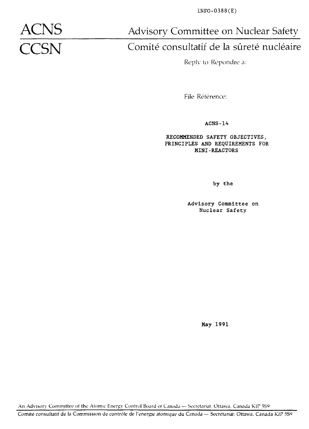INFO-0388(E)

Advisory Committee on Nuclear Safety

# **CCSN** Comité consultatif de la sûreté nucléaire

Reply to Repondre à:

File Référence:

**ACNS-14**

RECOMMENDED SAFETY OBJECTIVES, PRINCIPLES AND REQUIREMENTS FOR MINI-REACTORS

by the

Advisory Committee on Nuclear Safety

May 1991

An Advisory Committee of the Atomic Energy Control Board ot Canada -- Secretariat: Ottawa, Canada KIP 559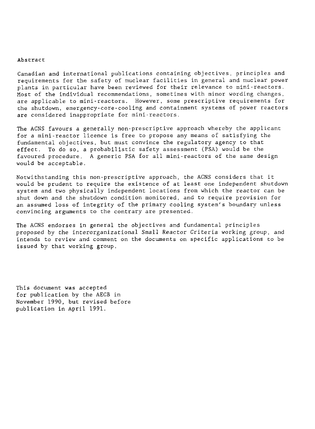#### Abstract

Canadian and international publications containing objectives, principles and requirements for the safety of nuclear facilities in general and nuclear power plants in particular have been reviewed for their relevance to mini-reactors. Most of the individual recommendations, sometimes with minor wording changes, are applicable to mini - reactors. However, some prescriptive requirements for the shutdown, emergency-core-cooling and containment systems of power reactors are considered inappropriate for mini-reactors.

The ACNS favours a generally non-prescriptive approach whereby the applicant for a mini-reactor licence is free to propose any means of satisfying the fundamental objectives, but must convince the regulatory agency to that effect. To do so, a probabilistic safety assessment (PSA) would be the favoured procedure. A generic PSA for all mini-reactors of the same design would be acceptable.

Notwithstanding this non-prescriptive approach, the ACNS considers that it would be prudent to require the existence of at least one independent shutdown system and two physically independent locations from which the reactor can be shut down and the shutdown condition monitored, and to require provision for an assumed loss of integrity of the primary cooling system's boundary unless convincing arguments to the contrary are presented.

The ACNS endorses in general the objectives and fundamental principles proposed by the interorganizational Small Reactor Criteria working group, and intends to review and comment on the documents on specific applications to be issued by that working group.

This document was accepted for publication by the AECB in November 1990, but revised before publication in April 1991.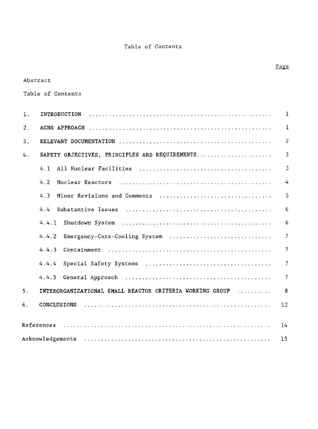Table of Contents

# Abstract

Table of Contents

| 1.             | INTRODUCTION                                                                                               | $\mathbf{1}$   |
|----------------|------------------------------------------------------------------------------------------------------------|----------------|
| 2.             |                                                                                                            | $\mathbf{1}$   |
| 3.             |                                                                                                            | $\overline{2}$ |
| 4.             | SAFETY OBJECTIVES. PRINCIPLES AND REQUIREMENTS                                                             | 3              |
|                | 4.1                                                                                                        | $\overline{3}$ |
|                | 4.2                                                                                                        | 4              |
|                | 4.3<br>Minor Revisions and Comments                                                                        | 5              |
|                | 4.4                                                                                                        | 6              |
|                |                                                                                                            | 6              |
|                | Emergency-Core-Cooling System<br>4.4.2                                                                     | $\overline{7}$ |
|                | 4.4.3<br>Containment $\ldots \ldots \ldots \ldots \ldots \ldots \ldots \ldots \ldots \ldots \ldots \ldots$ | $\overline{7}$ |
|                | 4.4.4                                                                                                      | $\overline{7}$ |
|                |                                                                                                            | $\overline{7}$ |
| 5 <sub>1</sub> | INTERORGANIZATIONAL SMALL REACTOR CRITERIA WORKING GROUP                                                   | 8              |
| 6.             | CONCLUSIONS                                                                                                | 12             |
|                |                                                                                                            |                |
|                | References                                                                                                 | 14             |
|                | Acknowledgements                                                                                           |                |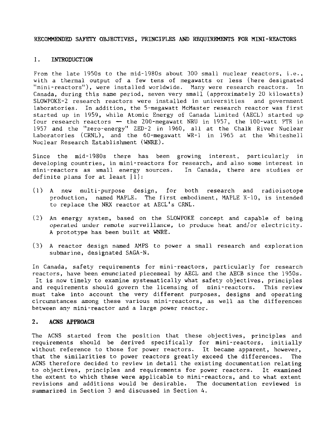#### RECOMMENDED SAFETY OBJECTIVES, PRINCIPLES AND REQUIREMENTS FOR MINI-REACTORS

#### 1. INTRODUCTION

From the late 1950s to the mid-1980s about 300 small nuclear reactors, i.e., with a thermal output of a few tens of megawatts or less (here designated<br>"mini-reactors"), were installed worldwide. Many were research reactors. In "mini-reactors"), were installed worldwide. Many were research reactors. Canada, during this same period, seven very small (approximately 20 kilowatts) SLOViPOKE-2 research reactors were installed in universities and government laboratories. In addition, the 5-megawatt McMaster research reactor was first started up in 1959, while Atomic Energy of Canada Limited (AECL) started up four research reactors — the 200-megawatt NRU in 1957, the 100-watt PTR in 1957 and the "zero-energy" ZED-2 in 1960, all at the Chalk River Nuclear Laboratories (CRNL), and the 60-megawatt WR-1 in 1965 at the Whiteshell Nuclear Research Establishment (WNRE).

Since the mid-1980s there has been growing interest, particularly in developing countries, in mini-reactors for research, and also some interest in mini-reactors as small energy sources. In Canada, there are studies or definite plans for at least [1]:

- (1) A new multi-purpose design, for both research and radioisotope production, named MAPLE. The first embodiment, MAPLE X-10, is intended to replace the NRX reactor at AECL's CRNL.
- (2) An energy system, based on the SLOWPOKE concept and capable of being operated under remoLe surveillance, to produce heat and/or electricity. A prototype has been built at WNRE.
- (3) A reactor design named AMPS to power a small research and exploration submarine, designated SAGA-N.

In Canada, safety requirements for mini-reactors, particularly for research reactors, have been enunciated piecemeal by AECL and the AECB since the 1950s. It is now timely to examine systematically what safety objectives, principles and requirements should govern the licensing of mini-reactors. This review must take into account the very different purposes, designs and operating circumstances among these various mini-reactors, as well as the differences between any mini-reactor and a large power reactor.

### 2. ACNS APPROACH

The ACNS started from the position that these objectives, principles and requirements should be derived specifically for mini-reactors, initially without reference to those for power reactors. It became apparent, however, that the similarities to power reactors greatly exceed the differences. The ACNS therefore decided to review in detail the existing documentation relating to objectives, principles and requirements for power reactors. It examined the extent to which these were applicable to mini-reactors, and to what extent revisions and additions would be desirable. The documentation reviewed is summarized in Section 3 and discussed in Section 4.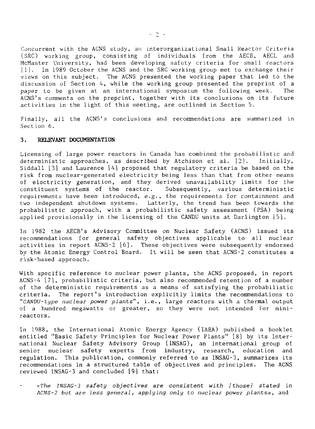Concurrent with the ACNS study, an interorganizational Small Reactor Criteria (SRC) working group, consisting of individuals from the AECB, AECL and McMaster University, had been developing safety criteria for small reactors [1]. In 1989 October the ACNS and the SRC working group met to exchange their views on this subject. The ACNS presented the working paper that led to the discussion of Section 4, while the working group presented the preprint of a paper to be given at an international symposium the following week. The ACNS's comments on the preprint, together with its conclusions on its future activities in the light of this meeting, are outlined in Section 5.

Finally, all the ACNS's conclusions and recommendations are summarized in Section 6.

#### 3. RELEVANT DOCUMENTATION

Licensing of large power reactors in Canada has combined the probabilistic and deterministic approaches, as described by Atchison et al. [2]. Initially, Siddall [3] and Laurence [A] proposed that regulatory criteria be based on the risk from nuclear-generated electricity being less than that from other means of electricity generation, and they derived unavailability limits for the constituent systems of the reactor. Subsequently, various deterministic requirements have been introduced, e.g., the requirements for containment and two independent shutdown systems. Latterly, the trend has been towards the probabilistic approach, with a probabilistic safety assessment (PSA) being applied provisionally in the licensing of the CANDU units at Darlington [5].

In 1982 the AECB's Advisory Committee on Nuclear Safety (ACNS) issued its recommendations for general safety objectives applicable to all nuclear activities in report ACNS-2 [6]. These objectives were subsequently endorsed by the Atomic Energy Control Board. It will be seen that ACNS-2 constitutes a risk-based approach.

With specific reference to nuclear power plants, the ACNS proposed, in report ACNS-4 [7], probabilistic criteria, but also recommended retention of a number of the deterministic requirements as a means of satisfying the probabilistic criteria. The report's introduction explicitly limits the recommendations to "CANDU-type nuclear power plants", i.e., large reactors with a thermal output of a hundred megawatts or greater, so they were not intended for minireactors.

In 1988, the International Atomic Energy Agency (IAEA) published a booklet entitled "Basic Safety Principles for Nuclear Power Plants" [8] by its International Nuclear Safety Advisory Group (INSAG), an international group of senior nuclear safety experts from industry, research, education and regulation. This publication, commonly referred to as INSAG-3, summarizes its recommendations in a structured table of objectives and principles. The ACNS reviewed INSAG-3 and concluded [9] that:

«The INSAG-3 safety objectives are consistent with [those] stated in ACNS-2 but are less general, applying only to nuclear power plants», and

 $-2 =$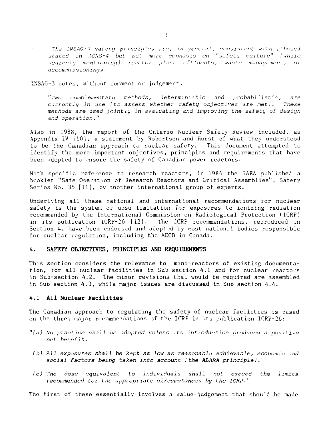•The LNSAG-l safety principles are, in general, consistent with [those) stated in ACNS-4 but put more emphasis on "safety culture" (while scarcely mentioning) reactor plant effluents, waste management, or decommissioning».

INSAG-3 notes, without comment or judgement:

"Two complementary methods, deterministic and probabilistic, are currently in use [to assess whether safety objectives are met]. These methods are used jointly in evaluating and improving the safety of design and operation."

Also in 1988, the report of the Ontario Nuclear Safety Review included, as Appendix IV [10], a statement by Robertson and Hurst of what they understood to be the Canadian approach to nuclear safety. This document attempted to identify the more important objectives, principles and requirements that have been adopted to ensure the safety of Canadian power reactors.

With specific reference to research reactors, in 1984 the IAEA published a booklet "Safe Operation of Research Reactors and Critical Assemblies", Safety Series No. 35 [11], by another international group of experts.

Underlying all these national and international recommendations for nuclear safety is the system of dose limitation for exposures to ionizing radiation recommended by the International Commission on Radiological Protection (ICRP) in its publication ICRP-26 [12]. The ICRP recommendations, reproduced in Section 4, have been endorsed and adopted by most national bodies responsible for nuclear regulation, including the AECB in Canada.

### 4. SAFETY OBJECTIVES, PRINCIPLES AND REQUIREMENTS

This section considers the relevance to mini-reactors of existing documentation, for all nuclear facilities in Sub-section 4.1 and for nuclear reactors in Sub-section 4.2. The minor revisions that would be required are assembled in Sub-section 4.3, while major issues are discussed in Sub-section 4.4.

#### **4.1 All Nuclear Facilities**

The Canadian approach to regulating the safety of nuclear facilities is based on the three major recommendations of the ICRP in its publication ICRP-26:

- $"$ (a) No practice shall be adopted unless its introduction produces a positive net benefit.
- (b) All exposures shall be kept as low as reasonably achievable, economic and social factors being taken into account [the ALARA principle).
- (c) The dose equivalent to individuals shall not exceed the limits recommended for the appropriate circumstances by the ICRP."

The first of these essentially involves a value-judgement that should be made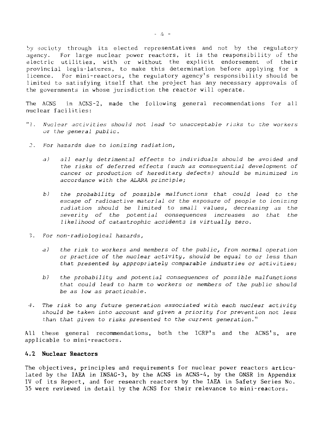by society through its elected representatives and not by the regulatory agency. For large nuclear power reactors, it is the responsibility of the electric utilities, with or without the explicit endorsement of their provincial legis-latures, to make this determination before applying for a licence. For mini-reactors, the regulatory agency's responsibility should be limited to satisfying itself that the project has any necessary approvals of the governments in whose jurisdiction the reactor will operate.

The ACNS in ACNS-2, made the following general recommendations for all nuclear facilities:

- "3. Nuclear accivities should not lead to unacceptable risks to the workers or the general public.
- 2. For hazards due to ionizing radiation,
	- a) all early detrimental effects to individuals should be avoided and the risks of deferred effects (such as consequential development of cancer or production of hereditary defects) should be minimized in accordance with the ALARA principle;
	- b) the probability of possible malfunctions that could lead to the escape of radioactive material or the exposure of people to ionizing radiation should be limited to small values, decreasing as the severity of the potential consequences increases so that the likelihood of catastrophic accidents is virtually zero.
- 1. For non-radiological hazards,
	- a) the risk to workers and members of the public, from normal operation or practice of the nuclear activity, should be equal to or less than that presented by appropriately comparable industries or activities;
	- b) the probability and potential consequences of possible malfunctions that could lead to harm to workers or members of the public should be as low as practicable.
- 4. The risk to any future generation associated with each nuclear activity should be taken into account and given a priority for prevention not less than that given to risks presented to the current generation."

All these general recommendations, both the ICRP's and the ACNS's, are applicable to mini-reactors.

#### **4.2 Nuclear Reactors**

The objectives, principles and requirements for nuclear power reactors articulated by the IAEA in INSAG-3, by the ACNS in ACNS-4, by the ONSR in Appendix IV of its Report, and for research reactors by the IAEA in Safety Series No. 35 were reviewed in detail by the ACNS for their relevance to mini-reactors.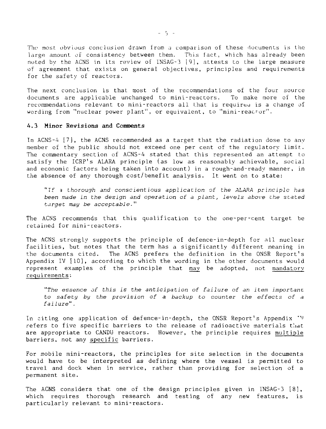The most obvious conclusion drawn from a comparison of these documents is the large amount of consistency between them. This fact, which has already been noted by the ACNS in its review of INSAG-3 19), attests to the large measure of agreement that exists on general objectives, principles and requirements for the safety of reactors.

The next conclusion is that most of the recommendations of the four source documents are applicable unchanged to mini-reactors. To make more of the recommendations relevant to mini-reactors all that is requireu is a change of wording from "nuclear power plant", or equivalent, to "mini-reacror".

#### **4.3 Minor Revisions and Comments**

In ACNS-4 [7], the ACNS recommended as a target that the radiation dose to any member of the public should not exceed one per cent of the regulatory limit. The commentary section of ACNS-4 stated that this represented an attempt to satisfy the ICRP's ALARA principle (as low as reasonably achievable, social and economic factors being taken into account) in a rough-and-ready manner, in the absence of any thorough cost/benefit analysis. It went on to state:

"Tf a thorough and conscientious application of the ALARA principle has been made in the design and operation of a plant, levels above zhe stated target may be acceptable."

The ACNS recommends that this qualification to the one-per-cent target be retained for mini-reactors.

The ACNS strongly supports the principle of defence-in-depth for all nuclear facilities, but notes that the term has a significantly different meaning in the documents cited. The ACNS prefers the definition in the ONSR Report's Appendix IV [10], according to which the wording in the other documents would represent examples of the principle that may be adopted, not mandatory requirements:

"The essence of this is the anticipation of failure of an item important to safety by the provision of a backup to counter the effects of a failure".

In citing one application of defence-in-depth, the ONSR Report's Appendix "V refers to five specific barriers to the release of radioactive materials that are appropriate to CANDU reactors. However, the principle requires multiple barriers, not any specific barriers.

For mobile mini-reactors, the principles for site selection in the documents would have to be interpreted as defining where the vessel is permitted to travel and dock when in service, rather than providing for selection of a permanent site.

The ACNS considers that one of the design principles given in INSAG-3 [8], which requires thorough research and testing of any new features, is particularly relevant to mini-reactors.

 $-5 -$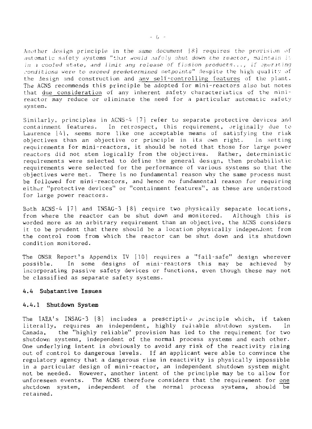Another design principle in the same document  $|8|$  requires the provision of automatic safety systems "that would rafoly shut down the reactor, maintain it in  $\alpha$  cooled state, and limit any release of fission products..., if operating conditions were to exceed predetermined setpoints" despite the high quality of the design and construction and any self-controlling features of the plant. The ACNS recommends this principle be adopted for mini-reactors also but notes that due consideration of any inherent safety characteristics of the minireactor may reduce or eliminate the need for a particular automatic safety system.

Similarly, principles in ACNS-4 [7] refer to separate protective devices and<br>containment features. In retrospect, this requirement, originally due to In retrospect, this requirement, originally due to Laurence [4], seems more like one acceptable means of satisfying the risk<br>objectives than an objective or principle in its own right. In setting objectives than an objective or principle in its own right. requirements for mini-reactors, it should be noted that those for large power reactors did not stem logically from the objectives. Rather, deterministic requirements were selected to define the general design, then probabilistic requirements were selected for the performance of various systems so that the objectives were met. There is no fundamental reason why the same process must be followed for mini-reactors, and hence no fundamental reason for requiring either "protective devices" or "containment features", as these are understood for large power reactors.

Both ACNS-4 [7] and 1NSAG-3 [81 require two physically separate locations, from where the reactor can be shut down and monitored. Although this is worded more as an arbitrary requirement than an objective, the ACNS considers it to be prudent that there should be a location physically independent from the control room from which the reactor can be shut down and its shutdown condition monitored.

The ONSR Report's Appendix IV [10] requires a "fail-safe" design wherever possible. In some designs of mini-reactors this may be achieved by incorporating passive safety devices or functions, even though these may not be classified as separate safety systems.

### **4.4 Substantive Issues**

#### **4.4.1 Shutdown System**

The IAEA's INSAG-3 [8] includes a prescriptive principle which, if taken literally, requires an independent, highly reliable shutdown system. In Canada, the "highly reliable" provision has led to the requirement for two shutdown systems, independent of the normal process systems and each other. One underlying intent is obviously to avoid any risk of the reactivity rising out of control to dangerous levels. If an applicant were able to convince the regulatory agency that a dangerous rise in reactivity is physically impossible in a particular design of mini-reactor, an independent shutdown system might not be needed. However, another intent of the principle may be to allow for unforeseen events. The ACNS therefore considers that the requirement for one shutdown system, independent of the normal process systems, should be retained.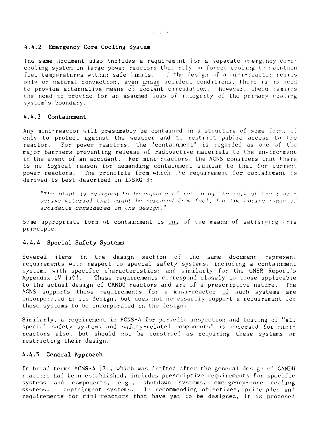#### **4.4.2 Emergency-Core-Cooling System**

The same document also includes a requirement for a separate emergencv-corocooling system in large power reactors that rely on forced cooling to maintain fuel temperatures within safe limits. If the design of a mini-reactor relies only on natural convection, even under accident, conditions, there is no need to provide alternative means of coolant circulation. However, there remains the need to provide for an assumed loss of integrity of the primary cooling system's boundary.

#### **4.4.3 Containment**

Any mini-reactor will presumably be contained in a structure of some form, if only to protect against the weather and to restrict public access to the reactor. For power reactors, the "containment" is regarded as one of the major barriers preventing release of radioactive materials to the environment in the event of an accident. For mini-reactors, the ACNS considers that there is no logical reason for demanding containment similar to that for current power reactors. The principle from which the requirement for containment is derived is best described in INSAG-3:

"The plant is designed to be capable of retaining the bulk of the radioactive material that might be released from fuel, for the entire range of accidents considered in the design."

Some appropriate form of containment is one of the means of satisfying this principle .

#### 4.4.4 Special Safety Systems

Several items in the design section of the same document represent requirements with respect to special safety systems, including a containment system, with specific characteristics; and similarly for the ONSR Report's Appendix IV [10]. These requirements correspond closely to those applicable to the actual design of CANDU reactors and are of a prescriptive nature. The ACNS supports these requirements for a mini-reactor if such systems are incorporated in its design, but does not necessarily support a requirement for these systems to be incorporated in the design.

Similarly, a requirement in ACNS-4 for periodic inspection and testing of "all special safety systems and safety-related components" is endorsed for minireactors also, but should not be construed as requiring these systems or restricting their design.

#### **4.4.5 General Approach**

In broad terms ACNS-4 [7], which was drafted after the general design of CANDU reactors had been established, includes prescriptive requirements for specific systems and components, e.g., shutdown systems, emergency-core cooling systems, containment systems. In recommending objectives, principles and requirements for mini-reactors that have yet to be designed, it is proposed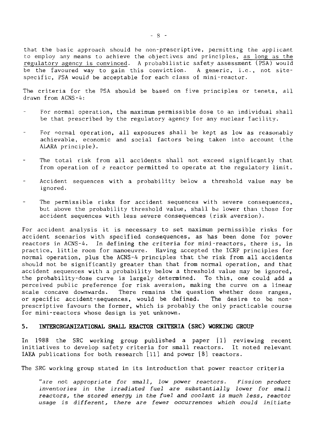that the basic approach should be non-prescriptive, permitting the applicant to employ any means to achieve the objectives and principles, as long as the regulatory agency is convinced. A probabilistic safety assessment (PSA) would be the favoured way to gain this conviction. A generic, i.e., not sitespecific, PSA would be acceptable for each class of mini-reactor.

The criteria for the PSA should be based on five principles or tenets, all drawn from ACNS-4:

- For normal operation, the maximum permissible dose to an individual shall be that prescribed by the regulatory agency for any nuclear facility.
- For normal operation, all exposures shall be kept as low as reasonably achievable, economic and social factors being taken into account (the ALARA principle).
- The total risk from all accidents shall not exceed significantly that from operation of a reactor permitted to operate at the regulatory limit.
- Accident sequences with a probability below a threshold value may be ignored.
- The permissible risks for accident sequences with severe consequences, but above the probability threshold value, shall be lower than those for accident sequences with less severe consequences (risk aversion).

For accident analysis it is necessary to set maximum permissible risks for accident scenarios with specified consequences, as has been done for power reactors in ACNS-4. In defining the criteria for mini-reactors, there is, in practice, little room for manoeuvre. Having accepted the ICRP principles for normal operation, plus the ACNS-4 principles that the risk from all accidents should not be significantly greater than that from normal operation, and that accident sequences with a probability below a threshold value may be ignored, the probability-dose curve is largely determined. To this, one could add a perceived public preference for risk aversion, making the curve on a linear scale concave downwards. There remains the question whether dose ranges, or specific accident-sequences, would be defined. The desire to be nonprescriptive favours the former, which is probably the only practicable course for mini-reactors whose design is yet unknown.

#### 5. INTERORGANIZATIONAL SMALL REACTOR CRITERIA (SRC) WORKING GROUP

In 1988 the SRC working group published a paper [1] reviewing recent initiatives to develop safety criteria for small reactors. It noted relevant IAEA publications for both research [11] and power [8] reactors.

The SRC working group stated in its introduction that power reactor criteria

"are not appropriate for small, low power reactors. Fission product inventories in the irradiated fuel are substantially lower for small reactors, the stored energy in the fuel and coolant is much less, reactor usage is different, there are fewer occurrences which could initiate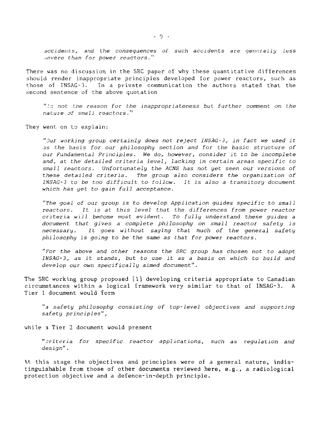accidents, and the consequences of such accidents are generally less severe than for power reactors. "

There was no discussion in the SRC paper of why these quantitative differences should render inappropriate principles developed for power reactors, such as those of INSAG-3. In a private communication the authors stated that the second sentence of the above quotation

": not the reason for the inappropriateness but further comment on the nature of small reactors."

They went on to explain:

".Our working group certainly does not reject INSAG-3, in fact we used it as the basis for our philosophy section and for the basic structure of our Fundamental Principles. We do, however, consider it to be incomplete and, at the detailed criteria level, lacking in certain areas specific to small reactors. Unfortunately the ACNS has not yet seen our versions of these detailed criteria. The group also considers the organization of INSAG-3 to be too difficult to follow. It is also a transitory document which has yet to gain full acceptance.

"The goal of our group is to develop Application guides specific to small reactors. It is at this level that the differences from power reactor criteria will become most evident. To fully understand these guides a document that gives a complete philosophy on small reactor safety is necessary. It goes without saying that much of the general safety philosophy is going to be the same as that for power reactors.

"For the above and other reasons the SRC group has chosen not to adopt INSAG-3, as it stands, but to use it as a basis on which to build and develop our own specifically aimed document".

The SRC working group proposed [1] developing criteria appropriate to Canadian circumstances within a logical framework very similar to that of INSAG-3. A Tier 1 document would form

"a safety philosophy consisting of top-level objectives and supporting safety principles",

while a Tier 2 document would present

"criteria for specific reactor applications, such as regulation and design".

At this stage the objectives and principles were of a general nature, indistinguishable from those of other documents reviewed here, e.g., a radiological protection objective and a defence-in-depth principle.

 $-9 -$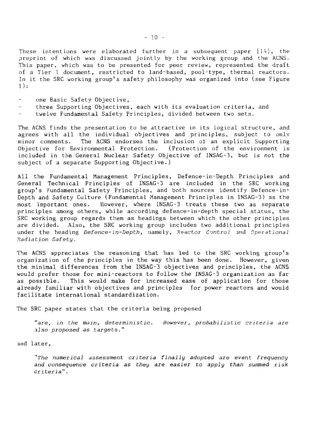These intentions were elaborated further in a subsequent paper  $[14]$ , the preprint of which was discussed jointly by the working group and the ACNS. This paper, which was to be presented for peer review, represented the draft of a Tier 1 document, restricted to land-based, pool-type, thermal reactors. In it the SRC working group's safety philosophy was organized into (see Figure 1):

- one Basic Safety Objective,
- three Supporting Objectives, each with its evaluation criteria, and
- twelve Fundamental Safety Principles, divided between two sets.

The ACNS finds the presentation to be attractive in its Logical structure, and agrees with all the individual objectives and principles, subject to only minor comments. The ACNS endorses the inclusion of an explicit Supporting Objective for Environmental Protection. (Protection of the environment is included in the General Nuclear Safety Objective of INSAG-3, but is not the subject of a separate Supporting Objective.)

All the Fundamental Management Principles, Defence-in-Depth Principles and General Technical Principles of INSAG-3 are included in the SRC working group's Fundamental Safety Principles, and both sources identify Defence-in-Depth and Safety Culture (Fundamental Management Principles in INSAG-3) as the most important ones. However, where INSAG-3 treats these two as separate principles among others, while according defence-in-depth special status, the SRC working group regards them as headings between which the other principles are divided. Also, the SRC working group includes two additional principles under the heading Defence-in-Depth, namely, Reactor Control and Operational Radiation Safety.

The ACNS appreciates the reasoning that has led to the SRC working group's organization of the principles in the way this has been done. However, given the minimal differences from the INSAG-3 objectives and principles, the ACNS would prefer those for mini-reactors to follow the INSAG-3 organization as far as possible. This would make for increased ease of application for those already familiar with objectives and principles for power reactors and would facilitate international standardization.

The SRC paper states that the criteria being proposed

"are, in the main, deterministic. However, probabilistic criteria are also proposed as targets."

and later,

''The numerical assessment criteria finally adopted are event frequency and consequence criteria as they are easier to apply than summed risk criteria".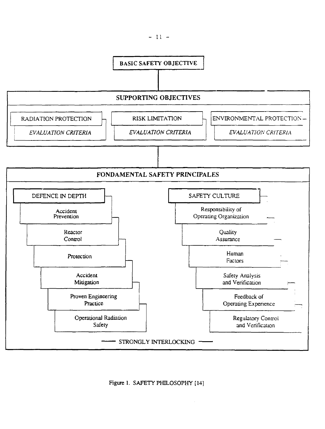

Figure 1. SAFETY PHILOSOPHY [14]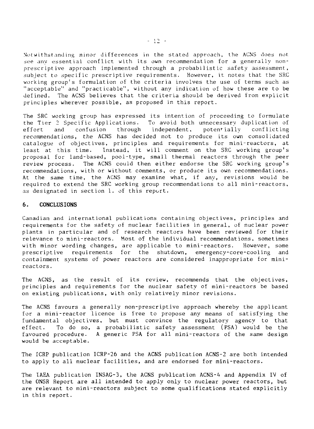Notwithstanding minor differences in the stated approach, the ACNS does not see any essential conflict with its own recommendation for a generally nonprescriptive approach implemented through a probabilistic safety assessment, subject to specific prescriptive requirements. However, it notes that the SRC working group's formulation of the criteria involves the use of terms such as "acceptable" and "practicable", without any indication of how these are to be defined. The ACNS believes that the criteria should be derived from explicit principles wherever possible, as proposed in this report.

The SRC working group has expressed its intention of proceeding to formulate the Tier 2 Specific Applications. To avoid both unnecessary duplication of effort and confusion through independent, potentially conflicting recommendations, the ACNS has decided not to produce its own consolidated catalogue of objectives, principles and requirements for mini-reactors, at Least at this time. Instead, it will comment on the SRC working group's proposal for land-based, pool-type, small thermal reactors through the peer review process. The ACNS could then either endorse the SRC working group's recommendations, with or without comments, or produce its own recommendations. At the same time, the ACNS may examine what, if any, revisions would be required to extend the SRC working group recommendations to all mini-reactors, as designated in section 1. of this report.

#### 6. CONCLUSIONS

Canadian and international publications containing objectives, principles and requirements for the safety of nuclear facilities in general, of nuclear power plants in particular and of research reactors have been reviewed for their relevance to mini-reactors. Most of the individual recommendations, sometimes with minor wording changes, are applicable to mini-reactors. However, some prescriptive requirements for the shutdown, emergency-core-cooling and containment systems of power reactors are considered inappropriate for minireactors.

The ACNS, as the result of its review, recommends that the objectives, principles and requirements for the nuclear safety of mini-reactors be based on existing publications, with only relatively minor revisions.

The ACNS favours a generally non-prescriptive approach whereby the applicant for a mini-reactor licence is free to propose any means of satisfying the fundamental objectives, but must convince the regulatory agency to that effect. To do so, a probabilistic safety assessment (PSA) would be the favoured procedure. A generic PSA for all mini-reactors of the same design would be acceptable.

The ICRP publication ICRP-26 and the ACNS publication ACNS-2 are both intended to apply to all nuclear facilities, and are endorsed for mini-reactors.

The IAEA publication INSAG-3, the ACNS publication ACNS-4 and Appendix IV of the ONSR Report are all intended to apply only to nuclear power reactors, but are relevant to mini-reactors subject to some qualifications stated explicitly in this report.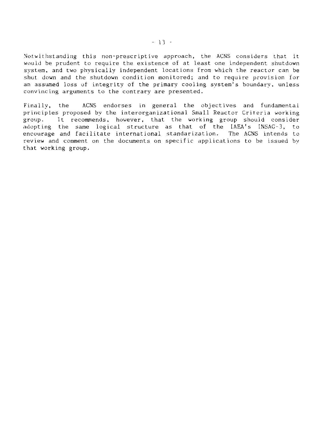Notwithstanding this non-prescriptive approach, the ACNS considers that it wouid be prudent to require the existence of at least one independent shutdown system, and two physically independent locations from which the reactor can be shut down and the shutdown condition monitored; and to require provision for an assumed loss of integrity of the primary cooling system's boundary, unless convincing arguments to the contrary are presented.

Finally, the ACNS endorses in general the objectives and fundamental principles proposed by the interorganizational Small Reactor Criteria working group. It recommends, however, that the working group should consider adopting the same logical structure as that of the IAEA's INSAG-3, to encourage and facilitate international standarization. review and comment on the documents on specific applications to be issued by that working group.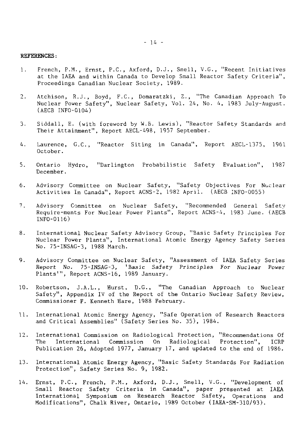# REFERENCES:

- 1. French, P.M., Ernst, P.C., Axford, D.J., Snell, V.G., "Recent Initiatives at the IAEA and within Canada to Develop Small Reactor Safety Criteria", Proceedings Canadian Nuclear Society, 1989.
- 2. Atchison, R.J., Boyd, F.C., Domaratzki, Z., "The Canadian Approach To Nuclear Power Safety", Nuclear Safety, Vol. 24, No. 4, 1983 July-August. (AECB INFO-0104)
- 3. Siddall, E. (with foreword by W.B. Lewis), "Reactor Safety Standards and Their Attainment", Report AECL-498, 1957 September.
- 4. Laurence, G.C., "Reactor Siting in Canada", Report AECL-1375, 1961 October.
- 5. Ontario Hydro, "Darlington Probabilistic Safety Evaluation", 1987 December.
- 6. Advisory Committee on Nuclear Safety, "Safety Objectives For Nuclear Activities In Canada", Report ACNS-2, 1982 April. (AECB INFO-0055)
- 7. Advisory Committee on Nuclear Safety, "Recommended General Safetv Require-ments For Nuclear Power Plants", Report ACNS-4, 1983 June. (AECB INFO-0116)
- 8. International Nuclear Safety Advisory Group, "Basic Safety Principles For Nuclear Power Plants", International Atomic Energy Agency Safety Series No. 75-INSAG-3, 1988 March.
- 9. Advisory Committee on Nuclear Safety, "Assessment of IAEA Safety Series Report No. 75-INSAG-3, "Basic Safety Principles For Nuclear Power Plants'", Report ACNS-16, 1989 January.
- 10. Robertson, J.A.L., Hurst, D.G., "The Canadian Approach to Nuclear Safety", Appendix IV of the Report of the Ontario Nuclear Safety Review, Commissioner F. Kenneth Hare, 1988 February.
- 11. International Atomic Energy Agency, "Safe Operation of Research Reactors and Critical Assemblies" (Safety Series No. 35), 1984.
- 12. International Commission on Radiological Protection, "Recommendations Of The International Commission On Radiological Protection", ICRP Publication 26, Adopted 1977, January 17, and updated to the end of 1986.
- 13. International Atomic Energy Agency, "Basic Safety Standards For Radiation Protection", Safety Series No. 9, 1982.
- 14. Ernst, P.C., French, P.M., Axford, D.J., Snell, V.G., "Development of Small Reactor Safety Criteria in Canada", paper presented at IAEA International Symposium on Research Reactor Safety, Operations and Modifications", Chalk River, Ontario, 1989 October (IAEA-SM-310/93).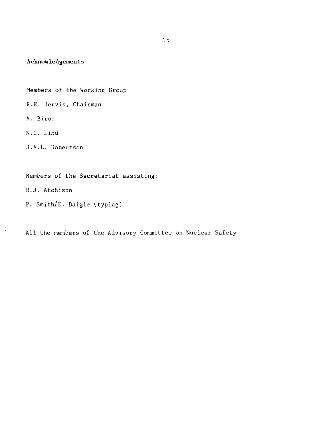# **Acknowledgements**

Members of the Working Group

- R.E. Jervis, Chairman
- A. Biron

N.C. Lind

J.A.L. Robertson

Members of the Secretariat assisting:

R.J. Atchison

P. Smith/E. Daigle (typing)

All the members of the Advisory Committee on Nuclear Safety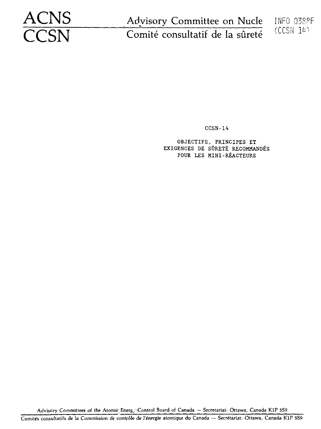Advisory Committee on Nucle INFO 038°F ACNS Advisory Committee on Nucle<br>
CCSN Comité consultatif de la sûreté

(CCSN *W>*

CCSN-14

OBJECTIFS, PRINCIFES ET EXIGENCES DE SfiRETE RECOMMANDES POUR LES MINI-REACTEURS

Advisory Committees of the Atomic Energ, Control Board of Canada - Secretariat: Ottawa, Canada K1P 5S9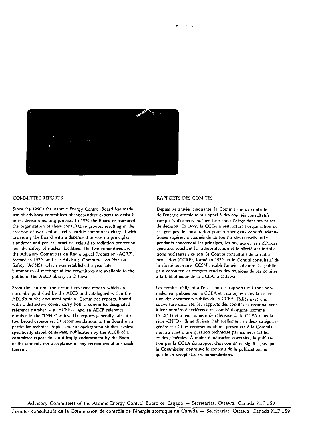

#### COMMITTEE REPORTS

Since the 1950's the Atomic Energy Control Board has made use of advisory committees of independent experts to assist it in its decision-making process. In 1979 the Board restructured the organization of these consultative groups, resulting in the creation of two senior level scientific committees charged with providing the Board with independent advice on principles, standards and general practices related to radiation protection and the safety of nuclear facilities. The two committees are the Advisory Committee on Radiological Protection (ACRP), formed in 1979, and the Advisory Committee on Nuclear Safety (ACNS), which was established a year later. Summaries of meetings of the committees are available to the public in the AECB library in Ottawa.

From time to time the committees issue reports which are normally published by the AECB and catalogued within the AECB's public document system. Committee reports, bound with a distinctive cover, carry both a committee-designated reference number, e.g. ACRP-1, and an AECB reference number in the "INFO" series. The reports generally fall into two broad categories: (i) recommendations to the Board on a particular technical topic, and (ii) background studies. Unless specifically stated otherwise, publication by the AECB of a committee report does not imply endorsement by the Board of the content, nor acceptance of any recommendations made therein.

#### RAPPORTS DES COMITÉS

Depuis les années cinquante, la Commission de contrôle de l'énergie atomique fail appel à des cor tés consultatifs composés d'experts indépendants pour l'aider dans ses prises de décision. En 1979, la CCEA a restructuré l'organisation de ces groupes de consultation pour former deux comités scientifiques supérieurs chargés de lui fournir des conseils indépendants concernant les principes, les normes et les méthodes générales touchant la radioprotection et la sûreté des installations nucléaires : ce sont le Comité consultatif de la radioprotection (CCRP), formé en 1979, et le Comité consultatif de la sûreté nucléaire (CCSN), établi l'année suivante. Le public peut consulter les comptes rendus des réunions de ces comités à la bibliothèque de la CCEA, à Ottawa.

Les comités rédigent à l'occasion des rapports qui sont normalement publiés par la CCEA et catalogués dans la collection des documents publics de la CCEA. Reliés avec une couverture distincte, les rapports des comités se reconnaissent à leur numéro de référence du comité d'origine (comme CCRP-1) et à leur numéro de référence de la CCEA dans la série «INFO». Ils se divisent habituellement en deux catégories générales : (i) les recommandations présentées à la Commission au sujet d'une question technique particulière; (ii) les études générales. À moins d'indication contraire, la publication par la CCEA du rapport d'un comité ne signifie pas que la Commission approuve le contenu de la publication, ni qu'elle en accepte les recommandations.

Advisory Committees of the Atomic Energy Control Board of Canada — Secretariat: Ottawa, Canada KlP 5S9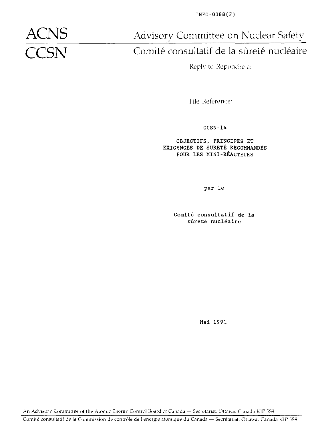INFO-0388(F)

**ACNS** Advisory Committee on Nuclear Safety<br> **CCSN** Comité consultatif de la sûreté nucléaire

# Comité consultatif de la sûreté nucléaire

Reply to Répondre a:

File Référence:

CCSN-14

OBJECTIFS, PRINCIPES ET EXIGENCES DE SÛRETÉ RECOMMANDÉS POUR LES MINI-RÉACTEURS

par le

Comité consultatif de la sûreté nucléaire

Mai 1991

An Advisory Committee of the Atomic Energy Control Board of Canada - Secretariat: Ottawa, Canada KIP 559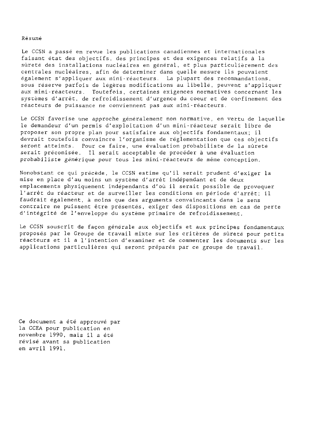#### Résumé

Le CCSN a passé en revue les publications canadiennes et internationales faisant état des objectifs, des principes et des exigences relatifs à la sûreté des installations nucléaires en général, et plus particulièrement des centrales nucléaires, afin de déterminer dans quelle mesure ils pouvaient également s'appliquer aux mini - réacteurs. La plupart des recommandations, sous réserve parfois de légères modifications au libellé, peuvent s'appliquer aux mini-réacteurs. Toutefois, certaines exigences normatives concernant les systèmes d'arrêt, de refroidissement d'urgence du coeur et de confinement des réacteurs de puissance ne conviennent pas aux mini - réacteurs.

Le CCSN favorise une approche généralement non normative, en vertu de laquelle le demandeur d'un permis d'exploitation d'un mini-réacteur serait libre de proposer son propre plan pour satisfaire aux objectifs fondamentaux; il devrait toutefois convaincre l'organisme de réglementation que ces objectifs seront atteints. Pour ce faire, une évaluation probabiliste de la sûreté serait préconisée. Il serait acceptable de procéder à une évaluation probabiliste générique pour tous les mini-réacteurs de même conception.

Nonobstant ce qui précède, le CCSN estime qu'il serait prudent d'exiger la mise en place d'au moins un système d'arrêt indépendant et de deux emplacements physiquement indépendants d'où il serait possible de provoquer l'arrêt du réacteur et de surveiller les conditions en période d'arrêt; il faudrait également, à moins que des arguments convaincants dans le sens contraire ne puissent être présentés, exiger des dispositions en cas de perte d'intégrité de l'enveloppe du système primaire de refroidissement.

Le CCSN souscrit de façon générale aux objectifs et aux principes fondamentaux proposés par le Groupe de travail mixte sur les critères de sûreté pour petits réacteurs et il a l'intention d'examiner et de commenter les documents sur les applications particulières qui seront préparés par ce groupe de travail.

Ce document a été approuvé par la CCEA pour publication en novembre 1990, mais il a été révisé avant sa publication en avril 1991.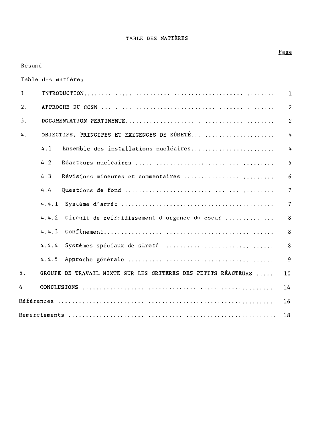### TABLE DES MATIERES

#### Page

# Table des matières 1. INTRODUCTION 1 2 . APPROCHE DU CCSN 2 3 . DOCUMENTATION PERTINENTE 2 4. OBJECTIFS, PRINCIPES ET EXIGENCES DE SÛRETÉ................................... 4 4 .1 Ensemble des installations nucléaires 4 4.2 Réacteurs nucléaires 5 4.3 Révisions mineures et commentaires 6 4.4 Questions de fond 7 4.4.1 Système d'arrêt 7 4.4.2 Circuit de refroidissement d'urgence du coeur .............. 8 4.4.3 Confinement 8 4.4.4 Systèmes spéciaux de sûreté 8 4.4.5 Approche générale 9 5. GROUPE DE TRAVAIL MIXTE SUR LES CRITERES DES PETITS RÉACTEURS .... 10 6 CONCLUSIONS 14 Références 16

Remerciements 18

Résumé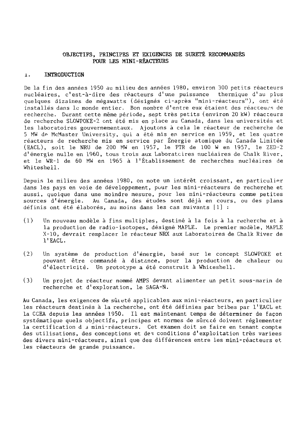# OBJECTIFS, PRINCIPES ET EXIGENCES DE SÛRETÉ RECOMMANDÉS POUB LES MINI-RÉACTEURS

# 1. INTRODUCTION

De la fin des années 1950 au milieu des années 1980, environ 300 petits réacteurs nucléaires, c'est-à-dire des réacteurs d'une puissance thermique d'au plus quelques dizaines de mégawatts (désignés ci-après "mini-réacteurs"), ont été installés dans le monde entier. Bon nombre d'entre eux étaient des réacteurs de recherche. Durant cette même période, sept très petits (environ 20 kW) réacteurs de recherche SLOWPOKE-2 ont été mis en place au Canada, dans les universités et les laboratoires gouvernementaux. Ajoutons à cela le réacteur de recherche de 5 MW de McMaster University, qui a été mis en service en 1959, et les quatre réacteurs de recherche mis en service par Énergie atomique du Canada Limitée (EACL), soit le NRU de 200 MW en 1957, le PTR de 100 W en 1957, le ZED-2 d'énergie nulle en 1960, tous trois aux Laboratoires nucléaires de Chalk River, et le WR-1 de 60 MW en 1965 à l'Établissement de recherches nucléaires de Whiteshell.

Depuis le milieu des années 1980, on note un intérêt croissant, en particulier dans les pays en voie de développement, pour les mini-réacteurs de recherche et aussi, quoique dans une moindre mesure, pour les mini-réacteurs comme petites sources d'énergie. Au Canada, des études sont déjà en cours, ou des plans définis ont été élaborés, au moins dans les cas suivants [1] :

- (1) Un nouveau modèle à fins multiples, destiné à la fois à la recherche et à la production de radio-isotopes, désigné MAPLE. Le premier modèle, MAPLE X-10, devrait remplacer le réacteur NRX aux Laboratoires de Chalk River de l'EACL.
- (2) Un système de production d'énergie, basé sur le concept SLOWPOKE et pouvant être commandé à distance, pour la production de chaleur ou d'électricité. Un prototype a été construit à Whiteshell.
- (3) Un projet de réacteur nommé AMPS devant alimenter un petit sous-marin de recherche et d'exploration, le SAGA-N.

Au Canada, les exigences de sûieté applicables aux mini-réacteurs, en particulier les réacteurs destinés à la recherche, ont été définies par bribes par l'EACL et la CCEA depuis les années 1950. Il est maintenant temps de déterminer de façon systématique quels objectifs, principes et normes de sûreté doivent réglementer la certification d 3 mini-réacteurs. Cet examen doit se faire en tenant compte des utilisations, des conceptions et deî conditions d'exploitation très variées des divers mini-réacteurs, ainsi que des différences entre les mini-réacteurs et les réacteurs de grande puissance.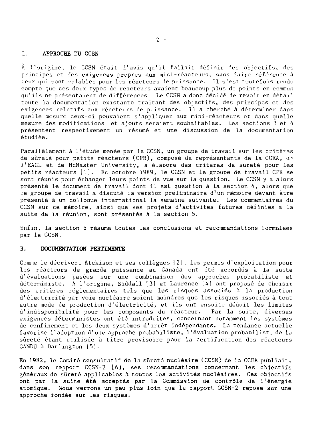#### 2. APPROCHE DU CCSN

À l'origine, le CCSN était d'avis qu'il fallait définir des objectifs, des principes et des exigences propres aux mini-réacteurs, sans faire référence à ceux qui sont valables pour les réacteurs de puissance. Il s'est toutefois rendu compte que ces deux types de réacteurs avaient beaucoup plus de points en commun qu'ils ne présentaient de différences. Le CCSN a donc décidé de revoir en détail toute la documentation existante traitant des objectifs, des principes et des exigences relatifs aux réacteurs de puissance. Il a cherché à déterminer dans quelle mesure ceux-ci pouvaient s'appliquer aux mini-réacteurs et dans quelle mesure des modifications et ajouts seraient souhaitables. Les sections 3 et 4 présentent respectivement un résumé et une discussion de la documentation étudiée.

Parallèlement à l'étude menée par le CCSN, un groupe de travail sur les critères de sûreté pour petits réacteurs (CPR), composé de représentants de la CCEA, an l'EACL et de McMaster University, a élaboré des critères de sûreté pour les petits réacteurs [1]. En octobre 1989, le CCSN et le groupe de travail CPR se sont réunis pour échanger leurs points de vue sur la question. Le CCSN y a alors présenté le document de travail dont il est question à la section 4, alors que le groupe de travail a discuté la version préliminaire d'un mémoire devant être présenté à un colloque international la semaine suivante. Les commentaires du CCSN sur ce mémoire, ainsi que ses projets d'activités futures définies à la suite de la réunion, sont présentés à la section 5.

Enfin, la section 6 résume toutes les conclusions et recommandations formulées par le CCSN.

### 3. DOCUMENTATION PERTINENTE

Comme le décrivent Atchison et ses collègues [2], les permis d'exploitation pour les réacteurs de grande puissance au Canada ont été accordés à la suite d'évaluations basées sur une combinaison des approches probabiliste et déterministe. A l'origine, Siddall [3] et Laurence [4] ont proposé de choisir des critères réglementaires tels que les risques associés à la production d'électricité par voie nucléaire soient moindres que les risques associés à tout autre mode de production d'électricité, et ils ont ensuite déduit les limites d'indisponibilité pour les composants du réacteur. Par la suite, diverses exigences déterministes ont été introduites, concernant notamment les systèmes de confinement et les deux systèmes d'arrêt indépendants. La tendance actuelle favorise l'adoption d'une approche probabiliste, l'évaluation probabiliste de la sûreté étant utilisée à titre provisoire pour la certification des réacteurs CANDU à Darlington [5].

En 1982, le Comité consultatif de la sûreté nucléaire (CCSN) de la CCEA publiait, dans son rapport CCSN-2 [6], ses recommandations concernant les objectifs généraux de sûreté applicables à toutes les activités nucléaires. Ces objectifs ont par la suite été acceptés par la Commission de contrôle de l'énergie atomique. Nous verrons un peu plus loin que le tapport CCSN-2 repose sur une approche fondée sur les risques.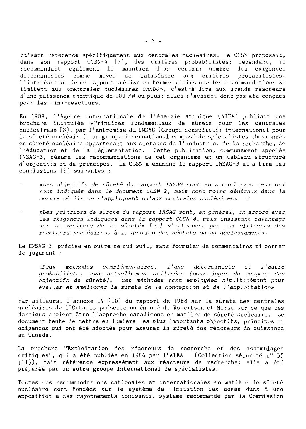Faisant référence spécifiquement aux centrales nucléaires, le CCSN proposait, dans son rapport CCSN-4 [7], des critères probabilistes; cependant, il recommandait également le maintien d'un certain nombre des exigences déterministes comme moyen de satisfaire aux critères probabilistes. L'introduction de ce rapport précise en termes clairs que les recommandations se limitent aux «centrales nucléaires CANDU», c'est-à-dire aux grands réacteurs d'une puissance thermique de 100 MW ou plus; elles n'avaient donc pas été conçues pour les mini-réacteurs.

En 1988, l'Agence internationale de l'énergie atomique (AIEA) publiait une brochure intitulée «Principes fondamentaux de sûreté pour les centrales nucléaires» [8], par l'entremise du INSAG (Groupe consultatif international pour la sûreté nucléaire), un groupe international composé de spécialistes chevronnés en sûreté nucléaire appartenant aux secteurs de l'industrie, de la recherche, de l'éducation et de la réglementation. Cette publication, communément appelée INSAG-3, résume les recommandations de cet organisme en un tableau structuré d'objectifs et de principes. Le CCSN a examiné le rapport INSAG-3 et a tiré les conclusions [9] suivantes :

- «Les objectifs de sûreté du rapport INSAG sont en accord avec ceux qui sont indiqués dans le document CCSN-2, mais sont moins généraux dans la mesure où ils ne s'appliquent qu'aux centrales nucléaires», et
- principes de sûreté du rapport INSAG sont, en général, en accord avec les exigences indiquées dans le rapport CCSN~4, mais insistent davantage sur la «culture de la sûreté» [et] s'attachent peu aux effluents des réacteurs nucléaires, à la gestion dos déchets ou au déclassement».

Le INSAG-3 précise en outre ce qui suit, sans formuler de commentaires ni porter de jugement :

«Deux méthodes complémentaires, l'une déterministe et l'autre probabiliste, sont actuellement utilisées [pour juger du respect des objectifs de sûreté]. Ces méthodes sont employées simultanément pour évaluer et améliorer la sûreté de la conception et de l'exploitation»

Par ailleurs, l'annexe IV [10] du rapport de 1988 sur la sûreté des centrales nucléaires de l'Ontario présente un énoncé de Robertson et Hurst sur ce que ces derniers croient être l'approche canadienne en matière de sûreté nucléaire. Ce document tente de mettre en lumière les plus importants objectifs, principes et exigences qui ont été adoptés pour assurer la sûreté des réacteurs de puissance au Canada.

La brochure "Exploitation des réacteurs de recherche et des assemblages critiques", qui a été publiée en 1984 par l'AIEA (Collection sécurité n" 35 [11]), fait référence expressément aux réacteurs de recherche; elle a été préparée par un autre groupe international de spécialistes.

Toutes ces recommandations nationales et internationales en matière de sûreté nucléaire sont fondées sur le système de limitation des doses dues à une exposition à des rayonnements ionisants, système recommandé par la Commission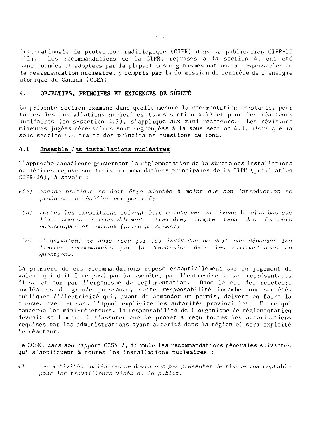internationale de protection radiologique (CIPR) dans sa publication CIPR-26 [12]. Les recommandations de la CIPR, reprises à la section 4, ont été sanctionnées et adoptées par la plupart des organismes nationaux responsables de la réglementation nucléaire, y compris par la Commission de contrôle de l'énergie atomique du Canada (CCEA),

# 4. OBJECTIFS, PRINCIPES ET EXIGENCES DE SÛRETÉ

La présente section examine dans quelle mesure la documentation existante, pour toutes les installations nucléaires (sous-section 4.1) et pour les réacteurs nucléaires (sous-section A.2), s'applique aux mini-réacteurs. Les révisions mineures jugées nécessaires sont regroupées à la sous-section 4.3, alors que la sous-section 4.4 traite des principales questions de fond.

# **4**.**1 Ensemble •' es installations nucléaires**

L'approche canadienne gouvernant la réglementât ion de la sûreté des installations nucléaires repose sur trois recommandations principales de la C1PR (publication CIPR-26), à savoir :

- n'a) aucune pratique ne doit être adoptée à moins que son introduction ne produise un bénéfice net positif ;
- (b) toutes les expositions doivent être maintenues au niveau le plus bas que I'on pourra raisonnablement atteindre, compte tenu des facteurs économiques et sociaux (principe ALARA);
- (c) l'équivalent de dose reçu par les individus ne doit pas dépasser les limites recommandées par la Commission dans les circonstances en question».

La première de ces recommandations repose essentiellement sur un jugement de valeur qui doit être posé par la société, par l'entremise de ses représentants élus, et non par l'organisme de réglementation. Dans le cas des réacteurs nucléaires de grande puissance, cette responsabilité incombe aux sociétés publiques d'électricité qui, avant de demander un permis, doivent en faire la preuve, avec ou sans l'appui explicite des autorités provinciales. En ce qui concerne les mini-réacteurs, la responsabilité de l'organisme de réglementation devrait se limiter à s'assurer que le projet a reçu toutes les autorisations requises par les administrations ayant autorité dans la région où sera exploité le réacteur.

Le CCSN, dans son rapport CCSN-2, formule les recommandations générales suivantes qui s'appliquent à toutes les installations nucléaires :

<'l . Les activités nucléaires ne devraient pas présenter de risque inacceptable pour les travailleurs visés ou le public.

 $-1 - 4 = -4$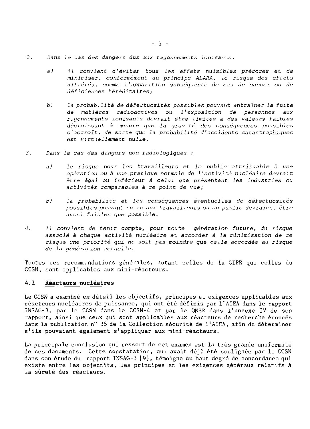- 2. Dans le cas des dangers dus aux rayonnements ionisants,
	- a) il convient d'éviter tous les effets nuisibles précoces et de minimiser, conformément au principe ALARA, le risque des effets différés, comme 1'apparition subséquente de cas de cancer ou de déficiences héréditaires;
	- b) la probabilité de défectuosités possibles pouvant entraîner la fuite de matières radioactives ou l'exposition de personnes aux rayonnements ionisants devrait être limitée à des valeurs faibles décroissant à mesure que la gravité des conséquences possibles s'accroît, de sorte que la probabilité d'accidents catastrophiques est virtuellement nulle.
- 3. Dans le cas des dangers non radiologiques :
	- a) le risque pour les travailleurs et le public attribuable à une opération ou à une pratique normale de 1'activité nucléaire devrait être égal ou inférieur à celui que présentent les industries ou activités comparables à ce point de vue;
	- b) la probabilité et les conséquences éventuelles de défectuosités possibles pouvant nuire aux travailleurs ou au public devraient être aussi faibles que possible.
- 4. Il convient de tenir compte, pour toute génération future, du risque associé à chaque activité nucléaire et accorder à la minimisation de ce risque une priorité qui ne soit pas moindre que celle accordée au risque de la génération actuelle.

Toutes ces recommandations générales, autant celles de la CIPR que celles du CCSN, sont applicables aux mini-réacteurs.

## **4.2 Réacteurs nucléaires**

Le CCSN a examiné en détail les objectifs, principes et exigences applicables aux réacteurs nucléaires de puissance, qui ont été définis par l'AIEA dans le rapport INSAG-3, par le CCSN dans le CCSN-A et par le ONSR dans l'annexe IV de son rapport, ainsi que ceux qui sont applicables aux réacteurs de recherche énoncés dans la publication n" 35 de la Collection sécurité de l'AIEA, afin de déterminer s'ils pouvaient également s'appliquer aux mini-réacteurs.

La principale conclusion qui ressort de cet examen est la très grande uniformité de ces documents. Cette constatation, qui avait déjà été soulignée par le CCSN dans son étude du rapport INSAG-3 [9], témoigne du haut degré de concordance qui existe entre les objectifs, les principes et les exigences généraux relatifs à la sûreté des réacteurs.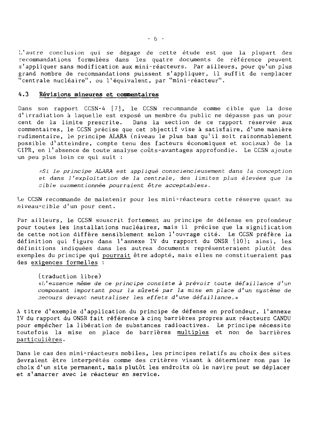L'autre conclusion qui se dégage de cette étude est que la plupart des recommandations formulées dans les quatre documents de référence peuvent s'appliquer sans modification aux mini-réacteurs. Par ailleurs, pour qu'un plus grand nombre de recommandations puissent s'appliquer, il suffit de remplacer "centrale nucléaire", ou l'équivalent, par "mini-réacteur".

## **4.3 Révisions mineures et commentaires**

Dans son rapport CCSN-A [7], le CCSN recommande comme cible que la dose d'irradiation à laquelle est exposé un membre du public ne dépasse pas un pour cent de la limite prescrite. Dans la section de ce rapport réservée aux commentaires, le CCSN précise que cet objectif vise à satisfaire, d'une manière rudimentaire, le principe ALARA (niveau le plus bas qu'il soit raisonnablement possible d'atteindre, compte tenu des facteurs économiques et sociaux) de la CIPR, en l'absence de toute analyse coûts-avantages approfondie. Le CCSN ajoute un peu plus loin ce qui suit :

•<Si le principe ALARA est appliqué consciencieusement dans la conception et dans 1 'exploitation de la centrale, des limites plus élevées que la cible susmentionnée pourraient être acceptables».

Le CCSN recommande de maintenir pour les mini-réacteurs cette réserve quant au niveau-cible d'un pour cent.

Par ailleurs, le CCSN souscrit fortement au principe de défense en profondeur pour toutes les installations nucléaires, mais il précise que la signification de cette notion diffère sensiblement selon l'ouvrage cité. Le CCSN préfère la définition qui figure dans l'annexe IV du rapport du ONSR [10]; ainsi, les définitions indiquées dans les autres documents représenteraient plutôt des exemples du principe qui pourrait être adopté, mais elles ne constitueraient pas des exigences formelles :

(traduction libre) «l'essence même de ce principe consiste à prévoir toute défaillance d'un composant important pour la sûreté par la mise en place d'un système de secours devant neutraliser les effets d'une défaillance.»

A titre d'exemple d'application du principe de défense en profondeur, l'annexe IV du rapport du ONSR fait référence à cinq barrières propres aux réacteurs CANDU pour empêcher la libération de substances radioactives. Le principe nécessite toutefois la mise en place de barrières multiples et non de barrières particulières.

Dans le cas des mini-réacteurs mobiles, les principes relatifs au choix des sites devraient être interprétés comme des critères visant à déterminer non pas le choix d'un site permanent, mais plutôt les endroits où le navire peut se déplacer et s'amarrer avec le réacteur en service.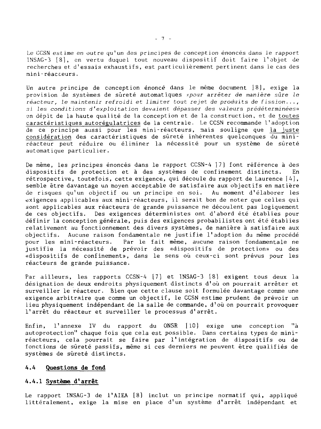Le CCSN estime en outre qu'un des principes de conception énoncés dans le rapport INSAG-3 [8], en vertu duquel tout nouveau dispositif doit faire l'objet de recherches et d'essais exhaustifs, est particulièrement pertinent dans le cas des mini-réacteurs.

Un autre principe de conception énoncé dans le même document 18], exige la provision de systèmes de sûreté automatiques xpour arrêter de manière sûre le réacteur, le maintenir refroidi et limiter tout rejet de produits de fission..., si les conditions d'exploitation devaient dépasser des valeurs prédéterminées» en dépit de la haute qualité de la conception et de la construction, et de toutes caractéristiques autorégulatrices de la centrale. Le CCSN recommande l'adoption de ce principe aussi pour les mini-réacteurs, mais souligne que la juste considération des caractéristiques de sûreté inhérentes quelconques du miniréacteur peut réduire ou éliminer la nécessité pour un système de sûreté automatique particulier.

De même, les principes énoncés dans le rapport CCSN-4 [7] font référence à des dispositifs de protection et à des systèmes de confinement distincts. En rétrospective, toutefois, cette exigence, qui découle du rapport de Laurence [4], semble être davantage un moyen acceptable de satisfaire aux objectifs en matière de risques qu'un objectif ou un principe en soi. Au moment d'élaborer les exigences applicables aux mini-réacteurs, il serait bon de noter que celles qui sont applicables aux réacteurs de grande puissance ne découlent pas logiquement de ces objectifs. Des exigences déterministes ont d'abord été établies pour définir la conception générale, puis des exigences probabilistes ont été établies relativement au fonctionnement des divers systèmes, de manière à satisfaire aux objectifs. Aucune raison fondamentale ne justifie l'adoption du même procédé pour Les mini-réacteurs. Par le fait même, aucune raison fondamentale ne justifie la nécessité de prévoir des «dispositifs de protection» ou des «dispositifs de confinement», dans le sens où ceux-ci sont prévus pour les réacteurs de grande puissance.

Par ailleurs, les rapports CCSN-4 [7] et INSAG-3 [8] exigent tous deux la désignation de deux endroits physiquement distincts d'où on pourrait arrêter et surveiller le réacteur. Bien que cette clause soit formulée davantage comme une exigence arbitraire que comme un objectif, le CCSN estime prudent de prévoir un lieu physiquement indépendant de la salle de commande, d'où on pourrait provoquer l'arrêt du réacteur et surveiller le processus d'arrêt.

Enfin, l'annexe IV du rapport du ONSR [10] exige une conception "à autoprotection" chaque fois que cela est possible. Dans certains types de miniréacteurs, cela pourrait se faire par l'intégration de dispositifs ou de fonctions de sûreté passifs, même si ces derniers ne peuvent être qualifiés de systèmes de sûreté distincts.

#### **4.4 Questions de fond**

### **4.4.1 Système d'arrêt**

Le rapport INSAG-3 de l'AIEA [8] inclut un principe normatif qui, appliqué littéralement, exige la mise en place d'un système d'arrêt indépendant et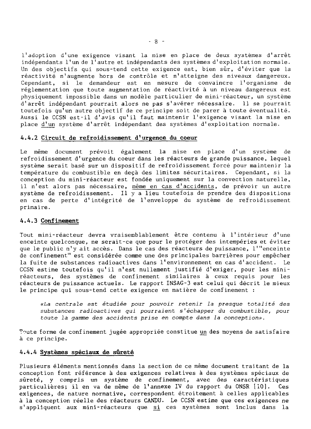l'adoption d'une exigence visant la mise en place de deux systèmes d'arrêt indépendants l'un de l'autre et indépendants des systèmes d'exploitation normale. Un des objectifs qui sous-tend cette exigence est, bien sûr, d'éviter que la réactivité n'augmente hors de contrôle et n'atteigne des niveaux dangereux. Cependant, si le demandeur est en mesure de convaincre l'organisme de réglementation que toute augmentation de réactivité à un niveau dangereux est physiquement impossible dans un modèle particulier de mini-réacteur, un système d'arrêt indépendant pourrait alors ne pas s'avérer nécessaire. 11 se pourrait toutefois qu'un autre objectif de ce principe soit de parer à toute éventualité. Aussi le CCSN est-il d'avis qu'il faut maintenir l'exigence visant la mise en place d'un système d'arrêt indépendant des systèmes d'exploitation normale.

#### **4.4.2 Circuit de refroidissement d'urgence du coeur**

Le même document prévoit également la mise en place d'un système de refroidissement d'urgence du coeur dans les réacteurs de grande puissance, lequel système serait basé sur un dispositif de refroidissement forcé pour maintenir la température du combustible en deçà des limites sécuritaires. Cependant, si la conception du mini-réacteur est fondée uniquement sur la convection naturelle, il n'est alors pas nécessaire, même en cas d'accidents, de prévoir un autre système de refroidissement. Il y a lieu toutefois de prendre des dispositions en cas de perte d'intégrité de l'enveloppe du système de refroidissement primaire.

#### **4.4.3 Confinement**

Tout mini-réacteur devra vraisemblablement être contenu à l'intérieur d'une enceinte quelconque, ne serait-ce que pour le protéger des intempéries et éviter que le public n'y ait accès. Dans le cas des réacteurs de puissance, l'"enceinte de confinement" est considérée comme une des principales barrières pour empêcher la fuite de substances radioactives dans l'environnement en cas d'accident. Le CCSN estime toutefois qu'il n'est nullement justifié d'exiger, pour les miniréacteurs, des systèmes de confinement similaires à ceux requis pour les réacteurs de puissance actuels. Le rapport INSAG-3 est celui qui décrit le mieux le principe qui sous-tend cette exigence en matière de confinement :

«La centrale est étudiée pour pouvoir retenir la presque totalité des substances radioactives qui pourraient s'échapper du combustible, pour toute la gamme des accidents prise en compte dans la conception».

Toute forme de confinement jugée appropriée constitue un des moyens de satisfaire à ce principe.

### **4.4.4 Systèmes spéciaux de sûreté**

Plusieurs éléments mentionnés dans la section de ce même document traitant de la conception font référence à des exigences relatives à des systèmes spéciaux de sûreté, y compris un système de confinement, avec des caractéristiques particulières; il en va de même de l'annexe IV du rapport du ONSR [10]. Ces exigences, de nature normative, correspondent étroitement à celles applicables à la conception réelle des réacteurs CANDU. Le CCSN estime que ces exigences ne s'appliquent aux mini-réacteurs que s\_i ces systèmes sont inclus dans la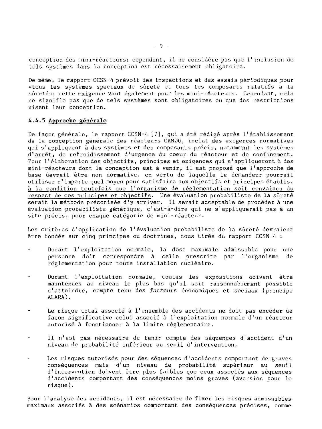conception des mini-réacteurs; cependant, il ne considère pas que l'inclusion de tels systèmes dans la conception est nécessairement obligatoire.

De même, le rapport CCSN-4 prévoit des inspections et des essais périodiques pour «tous les systèmes spéciaux de sûreté et tous les composants relatifs à la sûreté»; cette exigence vaut également pour les mini-réacteurs. Cependant, cela ne signifie pas que de tels systèmes sont obligatoires ou que des restrictions visent leur conception.

#### 4.4.5 Approche générale

De façon générale, le rapport CCSN-4 [7], qui a été rédigé après l'établissement de la conception générale des réacteurs CANDU, inclut des exigences normatives qui s'appliquent à des systèmes et des composants précis, notamment les systèmes d'arrêt, de refroidissement d'urgence du coeur du réacteur et de confinement. Pour l'élaboration des objectifs, principes et exigences qui s'appliqueront à des mini-réacteurs dont la conception est à venir, il est proposé que l'approche de base devrait être non normative, en vertu de laquelle le demandeur pourrait utiliser n'importe quel moyen pour satisfaire aux objectifs et principes établis, à la condition toutefois que l'organisme de réglementation soit convaincu du respect de ces principes et objectifs. Une évaluation probabiliste de la sûreté serait la méthode préconisée d'y arriver. Il serait acceptable de procéder à une évaluation probabiliste générique, c'est-à-dire qui ne s'appliquerait pas à un site précis, pour chaque catégorie de mini-réacteur.

Les critères d'application de l'évaluation probabiliste de la sûreté devraient être fondés sur cinq principes ou doctrines, tous tirés du rapport CCSN-4 :

- Durant l'exploitation normale, la dose maximale admissible pour une personne doit correspondre à celle prescrite par l'organisme de réglementation pour toute installation nucléaire.
- Durant l'exploitation normale, toutes les expositions doivent être ÷, maintenues au niveau le plus bas qu'il soit raisonnablement possible d'atteindre, compte tenu des facteurs économiques et sociaux {principe ALARA).
- $\overline{a}$ Le risque total associé à l'ensemble des accidents ne doit pas excéder de façon significative celui associé à l'exploitation normale d'un réacteur autorisé à fonctionner à la limite réglementaire.
- Il n'est pas nécessaire de tenir compte des séquences d'accident d'un niveau de probabilité inférieur au seuil d'intervention.
- Les risques autorisés pour des séquences d'accidents comportant de graves  $\overline{\phantom{a}}$ conséquences mais d'un niveau de probabilité supérieur au seuil d'intervention doivent être plus faibles que ceux associés aux séquences d'accidents comportant des conséquences moins graves (aversion pour le risque).

Pour l'analyse des accidents, il est nécessaire de fixer les risques admissibles maximaux associés à des scénarios comportant des conséquences précises, comme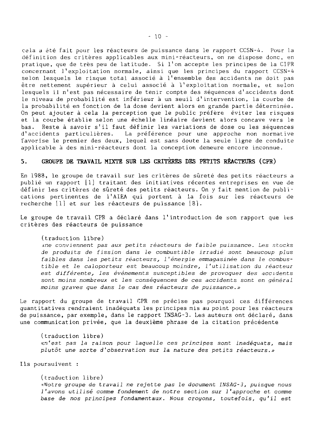cela a été fait pour les réacteurs de puissance dans le rapport CCSN-A. Pour la définition des critères applicables aux mini-réacteurs, on ne dispose donc, en pratique, que de très peu de latitude. Si l'on accepte les principes de la CIPR concernant l'exploitation normale, ainsi que les principes du rapport CCSN-4 selon lesquels le risque total associé à l'ensemble des accidents ne doit pas être nettement supérieur à celui associé à l'exploitation normale, et selon lesquels il n'est pas nécessaire de tenir compte des séquences d'accidents dont le niveau de probabilité est inférieur à un seuil d'intervention, la courbe de la probabilité en fonction de la dose devient alors en grande partie déterminée. On peut ajouter à cela la perception que le public préfère éviter les risques et la courbe établie selon une échelle linéaire devient alors concave vers le bas. Reste à savoir s'il faut définir les variations de dose ou les séquences d'accidents particulières. La préférence pour une approche non normative favorise le premier des deux, lequel est sans doute la seule ligne de conduite applicable à des mini-réacteurs dont la conception demeure encore inconnue.

# 5. GROUPE DE TRAVAIL MIXTE SUR LES CRITÈRES DES PETITS REACTEURS (CPR)

En 1988, le groupe de travail sur les critères de sûreté des petits réacteurs a publié un rapport [1] traitant des initiatives récentes entreprises en vue de définir les critères de sûreté des petits réacteurs. On y fait mention de publications pertinentes de l'AIRA qui portent à la fois sur les réacteurs de recherche [1] et sur les réacteurs de puissance [8].

Le groupe de travail CPR a déclaré dans l'introduction de son rapport que les critères des réacteurs de puissance

(traduction libre)

:<ne conviennent pas aux petits réacteurs de faible puissance. Les stocks de produits de fission dans le combustible irradié sont beaucoup plus faibles dans les petits réacteurs, l'énergie emmagasinée dans le combustible et le caloporteur est beaucoup moindre, l'utilisation du réacteur est différente, les événements susceptibles de provoguer des accidents sont moins nombreux et les conséquences de ces accidents sont en général moins graves que dans le cas des réacteurs de puissance.»

Le rapport du groupe de travail CPR ne précise pas pourquoi ces différences quantitatives rendraient inadéquats les principes mis au point pour les réacteurs de puissance, par exemple, dans le rapport INSAG-3. Les auteurs ont déclaré, dans une communication privée, que la deuxième phrase de la citation précédente

(traduction libre) «n'est pas la raison pour laquelle ces principes sont inadéquats, mais plutôt une sorte d'observation sur la nature des petits réacteurs.»

Ils poursuivent :

(traduction libre) '•Votre groupe de travail ne rejette pas le document INSAG-3, puisque nous 1'avons utilisé comme fondement de notre section sur 1'approche et comme base de nos principes fondamentaux. Nous croyons, toutefois, qu'il est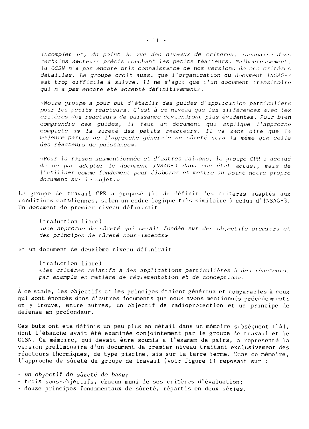incomplet et, du point de vue des niveaux de critères, lacunaire dans certains secteurs précis touchant les petits réacteurs. Malheureusement, le CCSN n'a pas encore pris connaissance de nos versions de ces critères détaillés. Le groupe croit aussi que l'organisation du document INSAG-3 est trop difficile à suivre. Il ne s'agit que  $d'$ un document transitoire qui n'a pas encore été accepté définitivement».

<Notre groupe a pour but d'établir des guides d'application particuliers pour les petits réacteurs. C'est à ce niveau que les différences avec les critères des réacteurs de puissance deviendront plus évidentes. Pour bien comprendre ces guides, il faut un document qui explique 1 'approche complète de la sûreté des petits réacteurs. Il va sans dire que la majeure partie de 1 'approche générale de sûreté sera la même que celle des réacteurs de puissance».

•xPour la raison susmentionnée et d'autres raisons, le groupe CPR j décidé de ne pas adopter le document INSAG-J dans son état actuel, mais de l'utiliser comme fondement pour élaborer et mettre au point notre propre document sur le sujet.»

Le groupe de travail CPR a proposé [1] de définir des critères adaptés aux conditions canadiennes, selon un cadre logique très similaire à celui d'INSAG-3. Un document de premier niveau définirait

(traduction libre) •<une approche de sûreté qui serait fondée sur des objectifs premiers et des pr inc ipes de sûreté sous-jacents»

e <sup>1</sup>" un document de deuxième niveau définirait

(traduction libre) «les critères relatifs à des applications particulières à des réacteurs, par exemple en matière de réglementation et de concept ion».

A ce stade, les objectifs et les principes étaient généraux et comparabLes à ceux qui sont énoncés dans d'autres documents que nous avons mentionnés précédemment; on y trouve, entre autres, un objectif de radioprotection et un principe de défense en profondeur.

Ces buts ont été définis un peu plus en détail dans un mémoire subséquent [14], dont l'ébauche avait été examinée conjointement par le groupe de travail et le CCSN. Ce mémoire, qui devait être soumis à l'examen de pairs, a représenté la version préliminaire d'un document de premier niveau traitant exclusivement des réacteurs thermiques, de type piscine, sis sur la terre ferme. Dans ce mémoire, l'approche de sûreté du groupe de travail (voir figure 1) reposait sur :

- un objectif de sûreté de base;

- trois sous-objectifs, chacun muni de ses critères d'évaluation;
- douze principes fondamentaux de sûreté, répartis en deux séries.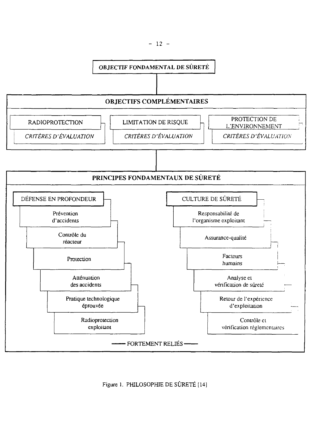

Figure 1. PHILOSOPHIE DE SÛRETÉ [14]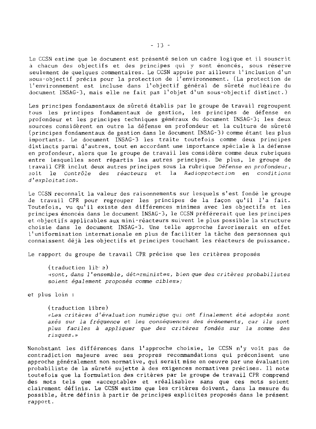Le CCSN estime que le document est présenté selon un cadre logique et il souscrit à chacun des objectifs et des principes qui y sont énoncés, sous réserve seulement de quelques commentaires. Le CCSN appuie par ailleurs l'inclusion d'un sous-objectif précis pour la protection de l'environnement. (La protection de l'environnement est incluse dans l'objectif général de sûreté nucléaire du document INSAG-3, mais elle ne fait pas l'objet d'un sous-objectif distinct.)

Les principes fondamentaux de sûreté établis par le groupe de travail regroupent tous les principes fondamentaux de gestion, les principes de défense en profondeur et les principes techniques généraux du document INSAG-3; les deux sources considèrent en outre la défense en profondeur et la culture de sûreté (principes fondamentaux de gestion dans le document INSAG-3) comme étant les plus importants. Le document INSAG-3 les traite toutefois comme deux principes distincts parmi d'autres, tout en accordant une importance spéciale à la défense en profondeur, alors que le groupe de travail les considère comme deux rubriques entre lesquelles sont répartis les autres principes. De plus, le groupe de travail CPR inclut deux autres principes sous la rubrique Défense en profondeur, soit le Contrôle des réacteurs et la Radioprotection en conditions d'exploitation.

Le CCSN reconnaît la valeur des raisonnements sur lesquels s'est fondé le groupe de travail CPR pour regrouper les principes de la façon qu'il l'a fait. Toutefois, vu qu'il existe des différences minimes avec les objectifs et les principes énoncés dans le document INSAG-3, le CCSN préférerait que les principes et objectifs applicables aux mini-réacteurs suivent le plus possible la structure choisie dans le document INSAG-3. Une telle approche favoriserait en effet l'uniformisation internationale en plus de faciliter la tâche des personnes qui connaissent déjà les objectifs et principes touchant les réacteurs de puissance.

Le rapport du groupe de travail CPR précise que les critères proposés

(traduction lib a) •<sont, dans 1'ensemble, déterministes, bien que des critères probabilistes soient également proposés comme cibles»;

et plus loin :

(traduction libre) «Les critères d'évaluation numérique qui ont finalement été adoptés sont axés sur la fréquence et les conséquences des événements, car ils sont plus faciles à appliquer que des critères fondés sur la somme des risques.»

Nonobstant les différences dans l'approche choisie, le CCSN n'y voit pas de contradiction majeure avec ses propres recommandations qui préconisent une approche généralement non normative, qui serait mise en oeuvre par une évaluation probabiliste de la sûreté sujette à des exigences normatives précises. Il note toutefois que la formulation des critères par le groupe de travail CPR comprend des mots tels que «acceptable» et «réalisable» sans que ces mots soient clairement définis. Le CCSN estime que les critères doivent, dans la mesure du possible, être définis à partir de principes explicites proposés dans le présent rapport.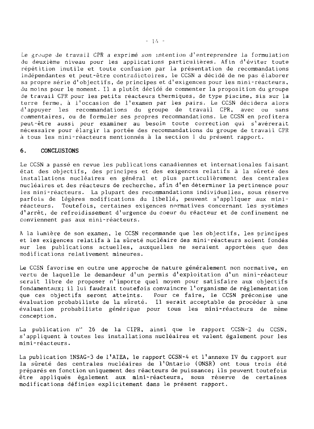Le groupe de travail CPR a exprimé son intention d'entreprendre la formulation du deuxième niveau pour les applications particulières. Afin d'éviter toute répétition inutile et toute confusion par la présentation de recommandations indépendantes et peut-être contradictoires, le CCSN a décidé de ne pas élaborer sa propre série d'objectifs, de principes et d'exigences pour les mini-réacteurs, du moins pour le moment. Il a plutôt décidé de commenter la proposition du groupe de travail CPR pour les petits réacteurs thermiques, de type piscine, sis sur la terre ferme, à l'occasion de l'examen par les pairs. Le CCSN décidera alors d'appuyer les recommandations du groupe de travail CPR, avec ou sans commentaires, ou de formuler ses propres recommandations. Le CCSN en profitera peut-être aussi pour examiner au besoin toute correction qui s'avérerait nécessaire pour élargir la portée des recommandations du groupe de travail CPR à tous les mini-réacteurs mentionnés à la section 1 du présent rapport.

#### 6. CONCLUSIONS

Le CCSN a passé en revue les publications canadiennes et internationales faisant état des objectifs, des principes et des exigences relatifs à la sûreté des installations nucléaires en général et plus particulièrement des centrales nucléaires et des réacteurs de recherche, afin d'en déterminer la pertinence pour les mini-réacteurs. La plupart des recommandations individuelles, sous réserve parfois de légères modifications du libellé, peuvent s'appliquer aux miniréacteurs. Toutefois, certaines exigences normatives concernant les systèmes d'arrêt, de refroidissement d'urgence du coeur du réacteur et de confinement ne conviennent pas aux mini-réacteurs.

A la lumière de son examen, le CCSN recommande que les objectifs, les principes et les exigences relatifs à la sûreté nucléaire des mini-réacteurs soient fondés sur les publications actuelles, auxquelles ne seraient apportées que des modifications relativement mineures.

Le CCSN favorise en outre une approche de nature généralement non normative, en vertu de laquelle le demandeur d'un permis d'exploitation d'un mini-réacteur serait libre de proposer n'importe quel moyen pour satisfaire aux objectifs fondamentaux; il lui faudrait toutefois convaincre l'organisme de réglementation que ces objectifs seront atteints. Pour ce faire, le CCSN préconise une évaluation probabiliste de la sûreté. Il serait acceptable de procéder à une évaluation probabiliste générique pour tous les mini-réacteurs de même conception.

La publication n" 26 de la CIPK, ainsi que le rapport CCSN-2 du CCSN, s'appliquent à toutes les installations nucléaires et valent également pour les mini-réacteurs.

La publication INSAG-3 de l'AIEA, le rapport CCSN-4 et l'annexe IV du rapport sur la sûreté des centrales nucléaires de l'Ontario (ONSR) ont tous trois été préparés en fonction uniquement des réacteurs de puissance; ils peuvent toutefois être appliqués également aux mini-réacteurs, sous réserve de certaines modifications définies explicitement dans le présent rapport.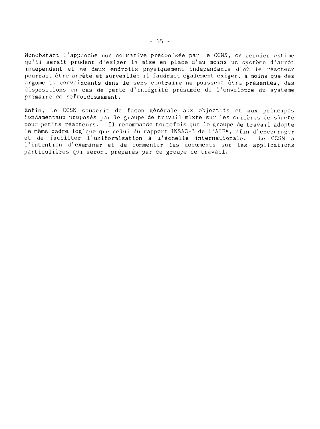Nonobstant l'approche non normative préconisée par ie CCNS, ce dernier estime qu'il serait prudent d'exiger La mise en place d'au moins un système d'arrêt indépendant et de deux endroits physiquement indépendants d'où le réacteur pourrait être arrêté et surveillé; il faudrait également exiger, à moins que des arguments convaincants dans le sens contraire ne puissent être présentés, des dispositions en cas de perte d'intégrité présumée de l'enveloppe du système primaire de refroidissement.

Enfin, le CCSN souscrit de façon générale aux objectifs et aux principes fondamentaux proposés par le groupe de travail mixte sur les critères de sûreté pour petits réacteurs. Il recommande toutefois que le groupe de travail adopte le même cadre logique que celui du rapport INSAG-3 de l'AIEA, afin d'encourager et de faciliter l'uniformisation à l'échelle internationale. Le CCSN a l'intention d'examiner et de commenter les documents sur les applications particulières qui seront préparés par ce groupe de travail.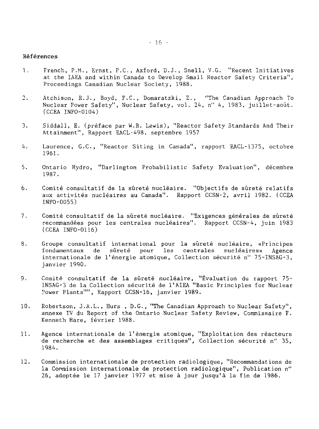#### Références

- 1. French, P.M., Ernst, P.C., Axford, D.J., Snell, V.G. "Recent Initiatives at the IAEA and within Canada to Develop Small Reactor Safety Criteria", Proceedings Canadian Nuclear Society, 1988.
- 2. Atchison, R.J., Boyd, F.C., Domaratzki, Z., "The Canadian Approach To Nuclear Power Safety", Nuclear Safety, vol. 24, n" 4, 1983, juillet-août. (CCEA INFO-0104)
- 3. Siddall, E. (préface par W.B. Lewis), "Reactor Safety Standards And Their Attainment", Rapport EACL-498, septembre 1957
- 4. Laurence, G.C., "Reactor Siting in Canada", rapport EACL-1375, octobre 1961.
- 5. Ontario Hydro, "Darlington Probabilistic Safety Evaluation", décembre 1987.
- 6. Comité consultatif de la sûreté nucléaire. "Objectifs de sûreté relatifs aux activités nucléaires au Canada". Rapport CCSN-2, avril 1982. (CCEA INFO-0055)
- 7. Comité consultatif de la sûreté nucléaire. "Exigences générales de sûreté recommandées pour les centrales nucléaires". Rapport CCSN-4, juin 1983 (CCEA INFO-0116)
- 8. Groupe consultatif international pour la sûreté nucléaire, «Principes fondamentaux de sûreté pour les centrales nucléaires» Agence internationale de l'énergie atomique, Collection sécurité n" 75-INSAG-3, janvier 1990.
- 9. Comité consultatif de la sûreté nucléaire, "Évaluation du rapport 75- INSAG-3 de la Collection sécurité de l'AIEA "Basic Principles for Nuclear Power Plants"", Rapport CCSN-16, janvier 1989.
- 10. Robertson, J.A.L., Hurs , D.G., "The Canadian Approach to Nuclear Safety", annexe IV du Report of the Ontario Nuclear Safety Review, Commissaire F. Kenneth Hare, février 1988.
- 11. Agence internationale de l'énergie atomique, "Exploitation des réacteurs de recherche et des assemblages critiques", Collection sécurité n" 35, 1984.
- 12. Commission internationale de protection radiologique, "Recommandations de la Conmission internationale de protection radiologique", Publication n" 26, adoptée le 17 janvier 1977 et mise à jour jusqu'à la fin de 1986.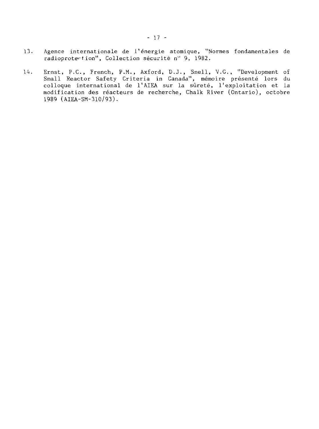- 13. Agence internationale de l'énergie atomique, "Normes fondamentales de radioprotection", Collection sécurité n° 9, 1982.
- 14. Ernst, P.C., French, P.M., Axford, D.J., Snell, V.G., "Development of Small Reactor Safety Criteria in Canada", mémoire présenté lors du colloque international de l'AIEA sur la sûreté, l'exploitation et la modification des réacteurs de recherche, Chalk River (Ontario), octobre 1989 (AIEA-SM-310/93).